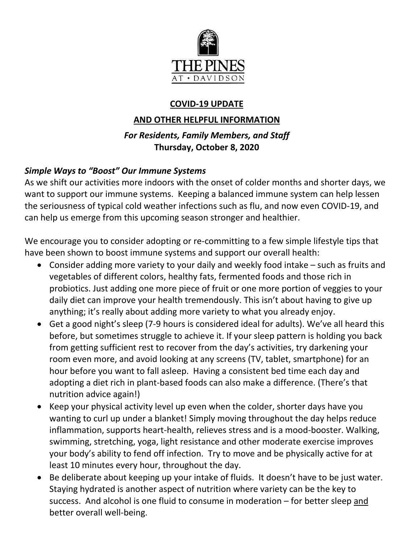

# **COVID-19 UPDATE**

## **AND OTHER HELPFUL INFORMATION**

## *For Residents, Family Members, and Staff* **Thursday, October 8, 2020**

## *Simple Ways to "Boost" Our Immune Systems*

As we shift our activities more indoors with the onset of colder months and shorter days, we want to support our immune systems. Keeping a balanced immune system can help lessen the seriousness of typical cold weather infections such as flu, and now even COVID-19, and can help us emerge from this upcoming season stronger and healthier.

We encourage you to consider adopting or re-committing to a few simple lifestyle tips that have been shown to boost immune systems and support our overall health:

- Consider adding more variety to your daily and weekly food intake such as fruits and vegetables of different colors, healthy fats, fermented foods and those rich in probiotics. Just adding one more piece of fruit or one more portion of veggies to your daily diet can improve your health tremendously. This isn't about having to give up anything; it's really about adding more variety to what you already enjoy.
- Get a good night's sleep (7-9 hours is considered ideal for adults). We've all heard this before, but sometimes struggle to achieve it. If your sleep pattern is holding you back from getting sufficient rest to recover from the day's activities, try darkening your room even more, and avoid looking at any screens (TV, tablet, smartphone) for an hour before you want to fall asleep. Having a consistent bed time each day and adopting a diet rich in plant-based foods can also make a difference. (There's that nutrition advice again!)
- Keep your physical activity level up even when the colder, shorter days have you wanting to curl up under a blanket! Simply moving throughout the day helps reduce inflammation, supports heart-health, relieves stress and is a mood-booster. Walking, swimming, stretching, yoga, light resistance and other moderate exercise improves your body's ability to fend off infection. Try to move and be physically active for at least 10 minutes every hour, throughout the day.
- Be deliberate about keeping up your intake of fluids. It doesn't have to be just water. Staying hydrated is another aspect of nutrition where variety can be the key to success. And alcohol is one fluid to consume in moderation – for better sleep and better overall well-being.